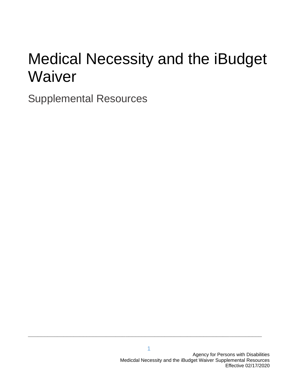### Medical Necessity and the iBudget **Waiver**

Supplemental Resources

**\_\_\_\_\_\_\_\_\_\_\_\_\_\_\_\_\_\_\_\_\_\_\_\_\_\_\_\_\_\_\_\_\_\_\_\_\_\_\_\_\_\_\_\_\_\_\_\_\_\_\_\_\_\_\_\_\_\_\_\_\_\_\_\_\_\_\_\_\_\_\_\_**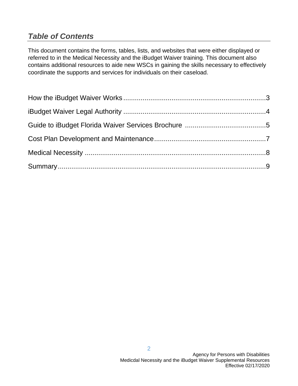### *Table of Contents*

This document contains the forms, tables, lists, and websites that were either displayed or referred to in the Medical Necessity and the iBudget Waiver training. This document also contains additional resources to aide new WSCs in gaining the skills necessary to effectively coordinate the supports and services for individuals on their caseload.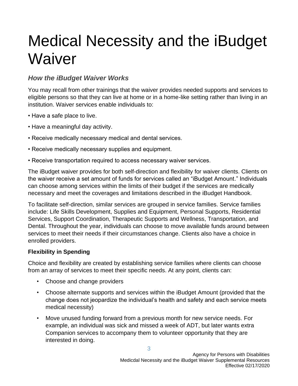### Medical Necessity and the iBudget **Waiver**

### *How the iBudget Waiver Works*

You may recall from other trainings that the waiver provides needed supports and services to eligible persons so that they can live at home or in a home-like setting rather than living in an institution. Waiver services enable individuals to:

- Have a safe place to live.
- Have a meaningful day activity.
- Receive medically necessary medical and dental services.
- Receive medically necessary supplies and equipment.
- Receive transportation required to access necessary waiver services.

The iBudget waiver provides for both self-direction and flexibility for waiver clients. Clients on the waiver receive a set amount of funds for services called an "iBudget Amount." Individuals can choose among services within the limits of their budget if the services are medically necessary and meet the coverages and limitations described in the iBudget Handbook.

To facilitate self-direction, similar services are grouped in service families. Service families include: Life Skills Development, Supplies and Equipment, Personal Supports, Residential Services, Support Coordination, Therapeutic Supports and Wellness, Transportation, and Dental. Throughout the year, individuals can choose to move available funds around between services to meet their needs if their circumstances change. Clients also have a choice in enrolled providers.

### **Flexibility in Spending**

Choice and flexibility are created by establishing service families where clients can choose from an array of services to meet their specific needs. At any point, clients can:

- Choose and change providers
- Choose alternate supports and services within the iBudget Amount (provided that the change does not jeopardize the individual's health and safety and each service meets medical necessity)
- Move unused funding forward from a previous month for new service needs. For example, an individual was sick and missed a week of ADT, but later wants extra Companion services to accompany them to volunteer opportunity that they are interested in doing.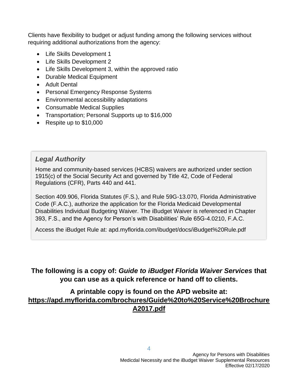Clients have flexibility to budget or adjust funding among the following services without requiring additional authorizations from the agency:

- Life Skills Development 1
- Life Skills Development 2
- Life Skills Development 3, within the approved ratio
- Durable Medical Equipment
- Adult Dental
- Personal Emergency Response Systems
- Environmental accessibility adaptations
- Consumable Medical Supplies
- Transportation; Personal Supports up to \$16,000
- Respite up to \$10,000

### *Legal Authority*

Home and community-based services (HCBS) waivers are authorized under section 1915(c) of the Social Security Act and governed by Title 42, Code of Federal Regulations (CFR), Parts 440 and 441.

Section 409.906, Florida Statutes (F.S.), and Rule 59G-13.070, Florida Administrative Code (F.A.C.), authorize the application for the Florida Medicaid Developmental Disabilities Individual Budgeting Waiver. The iBudget Waiver is referenced in Chapter 393, F.S., and the Agency for Person's with Disabilities' Rule 65G-4.0210, F.A.C.

Access the iBudget Rule at: apd.myflorida.com/ibudget/docs/iBudget%20Rule.pdf

### **The following is a copy of:** *Guide to iBudget Florida Waiver Services* **that you can use as a quick reference or hand off to clients.**

### **A printable copy is found on the APD website at: [https://apd.myflorida.com/brochures/Guide%20to%20Service%20Brochure](https://apd.myflorida.com/brochures/Guide%20to%20Service%20BrochureA2017.pdf) [A2017.pdf](https://apd.myflorida.com/brochures/Guide%20to%20Service%20BrochureA2017.pdf)**

4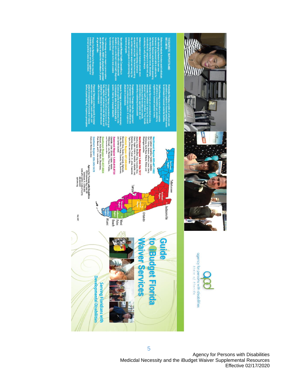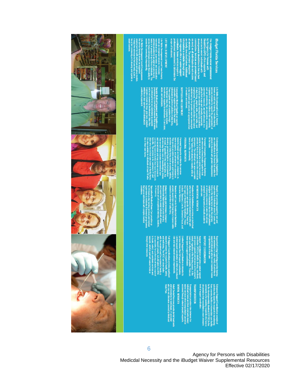

# **iBudget Florida Services**

**IS DEVELOPMEN** 

# **PLIES AND EQUIPMENT**

**SIDENTIAL SERVICES** 

## **SLINGGION RIDDOKIS**

**SPORTAINO** 

**ZE COORDINATION** 

Agency for Persons with Disabilities Medicdal Necessity and the iBudget Waiver Supplemental Resources Effective 02/17/2020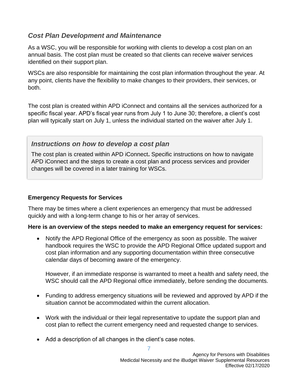### *Cost Plan Development and Maintenance*

As a WSC, you will be responsible for working with clients to develop a cost plan on an annual basis. The cost plan must be created so that clients can receive waiver services identified on their support plan.

WSCs are also responsible for maintaining the cost plan information throughout the year. At any point, clients have the flexibility to make changes to their providers, their services, or both.

The cost plan is created within APD iConnect and contains all the services authorized for a specific fiscal year. APD's fiscal year runs from July 1 to June 30; therefore, a client's cost plan will typically start on July 1, unless the individual started on the waiver after July 1.

### *Instructions on how to develop a cost plan*

The cost plan is created within APD iConnect**.** Specific instructions on how to navigate APD iConnect and the steps to create a cost plan and process services and provider changes will be covered in a later training for WSCs.

### **Emergency Requests for Services**

There may be times where a client experiences an emergency that must be addressed quickly and with a long-term change to his or her array of services.

### **Here is an overview of the steps needed to make an emergency request for services:**

• Notify the APD Regional Office of the emergency as soon as possible. The waiver handbook requires the WSC to provide the APD Regional Office updated support and cost plan information and any supporting documentation within three consecutive calendar days of becoming aware of the emergency.

However, if an immediate response is warranted to meet a health and safety need, the WSC should call the APD Regional office immediately, before sending the documents.

- Funding to address emergency situations will be reviewed and approved by APD if the situation cannot be accommodated within the current allocation.
- Work with the individual or their legal representative to update the support plan and cost plan to reflect the current emergency need and requested change to services.
- Add a description of all changes in the client's case notes.

7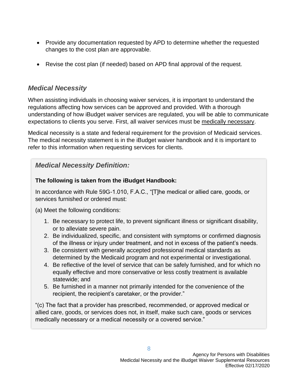- Provide any documentation requested by APD to determine whether the requested changes to the cost plan are approvable.
- Revise the cost plan (if needed) based on APD final approval of the request.

### *Medical Necessity*

When assisting individuals in choosing waiver services, it is important to understand the regulations affecting how services can be approved and provided. With a thorough understanding of how iBudget waiver services are regulated, you will be able to communicate expectations to clients you serve. First, all waiver services must be medically necessary.

Medical necessity is a state and federal requirement for the provision of Medicaid services. The medical necessity statement is in the iBudget waiver handbook and it is important to refer to this information when requesting services for clients.

### *Medical Necessity Definition:*

### **The following is taken from the iBudget Handbook:**

In accordance with Rule 59G-1.010, F.A.C., "[T]he medical or allied care, goods, or services furnished or ordered must:

(a) Meet the following conditions:

- 1. Be necessary to protect life, to prevent significant illness or significant disability, or to alleviate severe pain.
- 2. Be individualized, specific, and consistent with symptoms or confirmed diagnosis of the illness or injury under treatment, and not in excess of the patient's needs.
- 3. Be consistent with generally accepted professional medical standards as determined by the Medicaid program and not experimental or investigational.
- 4. Be reflective of the level of service that can be safely furnished, and for which no equally effective and more conservative or less costly treatment is available statewide; and
- 5. Be furnished in a manner not primarily intended for the convenience of the recipient, the recipient's caretaker, or the provider."

"(c) The fact that a provider has prescribed, recommended, or approved medical or allied care, goods, or services does not, in itself, make such care, goods or services medically necessary or a medical necessity or a covered service."